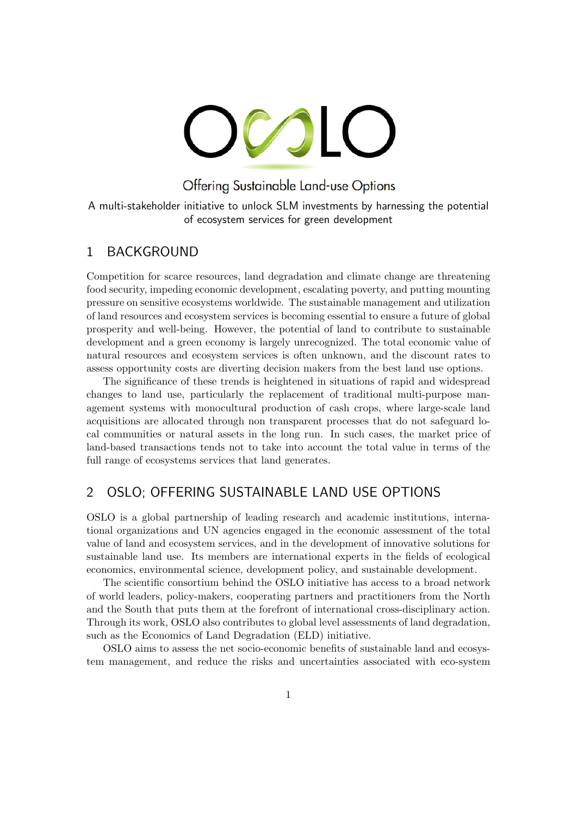# OCOLO

Offering Sustainable Land-use Options

A multi-stakeholder initiative to unlock SLM investments by harnessing the potential of ecosystem services for green development

## 1 BACKGROUND

Competition for scarce resources, land degradation and climate change are threatening food security, impeding economic development, escalating poverty, and putting mounting pressure on sensitive ecosystems worldwide. The sustainable management and utilization of land resources and ecosystem services is becoming essential to ensure a future of global prosperity and well-being. However, the potential of land to contribute to sustainable development and a green economy is largely unrecognized. The total economic value of natural resources and ecosystem services is often unknown, and the discount rates to assess opportunity costs are diverting decision makers from the best land use options.

The significance of these trends is heightened in situations of rapid and widespread changes to land use, particularly the replacement of traditional multi-purpose management systems with monocultural production of cash crops, where large-scale land acquisitions are allocated through non transparent processes that do not safeguard local communities or natural assets in the long run. In such cases, the market price of land-based transactions tends not to take into account the total value in terms of the full range of ecosystems services that land generates.

# 2 OSLO; OFFERING SUSTAINABLE LAND USE OPTIONS

OSLO is a global partnership of leading research and academic institutions, international organizations and UN agencies engaged in the economic assessment of the total value of land and ecosystem services, and in the development of innovative solutions for sustainable land use. Its members are international experts in the fields of ecological economics, environmental science, development policy, and sustainable development.

The scientific consortium behind the OSLO initiative has access to a broad network of world leaders, policy-makers, cooperating partners and practitioners from the North and the South that puts them at the forefront of international cross-disciplinary action. Through its work, OSLO also contributes to global level assessments of land degradation, such as the Economics of Land Degradation (ELD) initiative.

OSLO aims to assess the net socio-economic benefits of sustainable land and ecosystem management, and reduce the risks and uncertainties associated with eco-system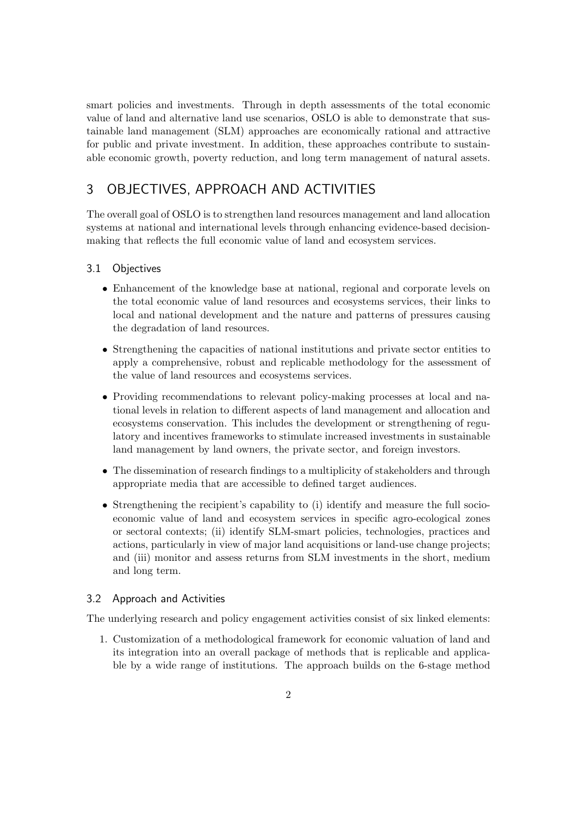smart policies and investments. Through in depth assessments of the total economic value of land and alternative land use scenarios, OSLO is able to demonstrate that sustainable land management (SLM) approaches are economically rational and attractive for public and private investment. In addition, these approaches contribute to sustainable economic growth, poverty reduction, and long term management of natural assets.

# 3 OBJECTIVES, APPROACH AND ACTIVITIES

The overall goal of OSLO is to strengthen land resources management and land allocation systems at national and international levels through enhancing evidence-based decisionmaking that reflects the full economic value of land and ecosystem services.

#### 3.1 Objectives

- Enhancement of the knowledge base at national, regional and corporate levels on the total economic value of land resources and ecosystems services, their links to local and national development and the nature and patterns of pressures causing the degradation of land resources.
- Strengthening the capacities of national institutions and private sector entities to apply a comprehensive, robust and replicable methodology for the assessment of the value of land resources and ecosystems services.
- Providing recommendations to relevant policy-making processes at local and national levels in relation to different aspects of land management and allocation and ecosystems conservation. This includes the development or strengthening of regulatory and incentives frameworks to stimulate increased investments in sustainable land management by land owners, the private sector, and foreign investors.
- The dissemination of research findings to a multiplicity of stakeholders and through appropriate media that are accessible to defined target audiences.
- Strengthening the recipient's capability to (i) identify and measure the full socioeconomic value of land and ecosystem services in specific agro-ecological zones or sectoral contexts; (ii) identify SLM-smart policies, technologies, practices and actions, particularly in view of major land acquisitions or land-use change projects; and (iii) monitor and assess returns from SLM investments in the short, medium and long term.

#### 3.2 Approach and Activities

The underlying research and policy engagement activities consist of six linked elements:

1. Customization of a methodological framework for economic valuation of land and its integration into an overall package of methods that is replicable and applicable by a wide range of institutions. The approach builds on the 6-stage method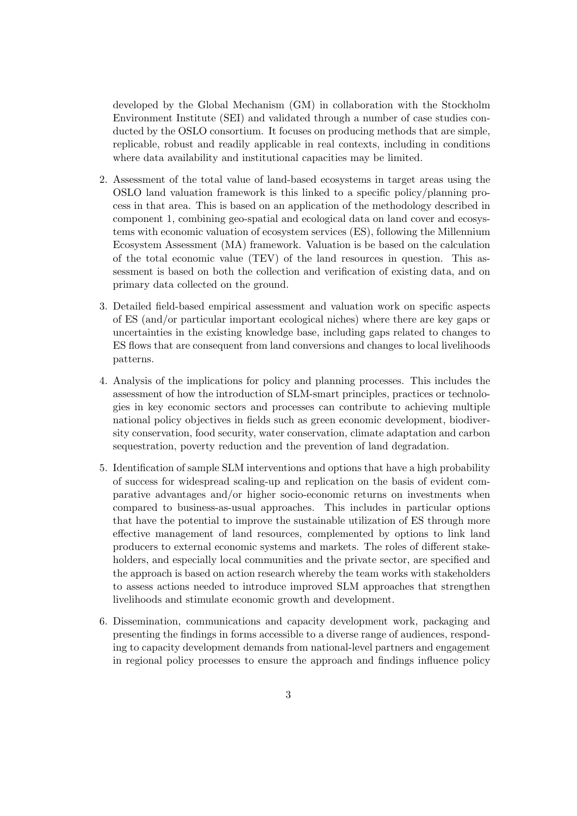developed by the Global Mechanism (GM) in collaboration with the Stockholm Environment Institute (SEI) and validated through a number of case studies conducted by the OSLO consortium. It focuses on producing methods that are simple, replicable, robust and readily applicable in real contexts, including in conditions where data availability and institutional capacities may be limited.

- 2. Assessment of the total value of land-based ecosystems in target areas using the OSLO land valuation framework is this linked to a specific policy/planning process in that area. This is based on an application of the methodology described in component 1, combining geo-spatial and ecological data on land cover and ecosystems with economic valuation of ecosystem services (ES), following the Millennium Ecosystem Assessment (MA) framework. Valuation is be based on the calculation of the total economic value (TEV) of the land resources in question. This assessment is based on both the collection and verification of existing data, and on primary data collected on the ground.
- 3. Detailed field-based empirical assessment and valuation work on specific aspects of ES (and/or particular important ecological niches) where there are key gaps or uncertainties in the existing knowledge base, including gaps related to changes to ES flows that are consequent from land conversions and changes to local livelihoods patterns.
- 4. Analysis of the implications for policy and planning processes. This includes the assessment of how the introduction of SLM-smart principles, practices or technologies in key economic sectors and processes can contribute to achieving multiple national policy objectives in fields such as green economic development, biodiversity conservation, food security, water conservation, climate adaptation and carbon sequestration, poverty reduction and the prevention of land degradation.
- 5. Identification of sample SLM interventions and options that have a high probability of success for widespread scaling-up and replication on the basis of evident comparative advantages and/or higher socio-economic returns on investments when compared to business-as-usual approaches. This includes in particular options that have the potential to improve the sustainable utilization of ES through more effective management of land resources, complemented by options to link land producers to external economic systems and markets. The roles of different stakeholders, and especially local communities and the private sector, are specified and the approach is based on action research whereby the team works with stakeholders to assess actions needed to introduce improved SLM approaches that strengthen livelihoods and stimulate economic growth and development.
- 6. Dissemination, communications and capacity development work, packaging and presenting the findings in forms accessible to a diverse range of audiences, responding to capacity development demands from national-level partners and engagement in regional policy processes to ensure the approach and findings influence policy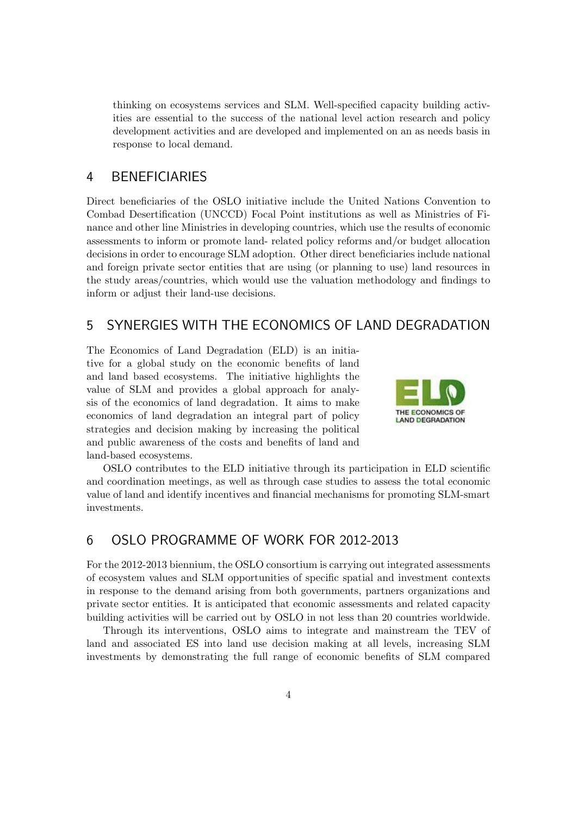thinking on ecosystems services and SLM. Well-specified capacity building activities are essential to the success of the national level action research and policy development activities and are developed and implemented on an as needs basis in response to local demand.

## 4 BENEFICIARIES

Direct beneficiaries of the OSLO initiative include the United Nations Convention to Combad Desertification (UNCCD) Focal Point institutions as well as Ministries of Finance and other line Ministries in developing countries, which use the results of economic assessments to inform or promote land- related policy reforms and/or budget allocation decisions in order to encourage SLM adoption. Other direct beneficiaries include national and foreign private sector entities that are using (or planning to use) land resources in the study areas/countries, which would use the valuation methodology and findings to inform or adjust their land-use decisions.

## 5 SYNERGIES WITH THE ECONOMICS OF LAND DEGRADATION

The Economics of Land Degradation (ELD) is an initiative for a global study on the economic benefits of land and land based ecosystems. The initiative highlights the value of SLM and provides a global approach for analysis of the economics of land degradation. It aims to make economics of land degradation an integral part of policy strategies and decision making by increasing the political and public awareness of the costs and benefits of land and land-based ecosystems.



OSLO contributes to the ELD initiative through its participation in ELD scientific and coordination meetings, as well as through case studies to assess the total economic value of land and identify incentives and financial mechanisms for promoting SLM-smart investments.

## 6 OSLO PROGRAMME OF WORK FOR 2012-2013

For the 2012-2013 biennium, the OSLO consortium is carrying out integrated assessments of ecosystem values and SLM opportunities of specific spatial and investment contexts in response to the demand arising from both governments, partners organizations and private sector entities. It is anticipated that economic assessments and related capacity building activities will be carried out by OSLO in not less than 20 countries worldwide.

Through its interventions, OSLO aims to integrate and mainstream the TEV of land and associated ES into land use decision making at all levels, increasing SLM investments by demonstrating the full range of economic benefits of SLM compared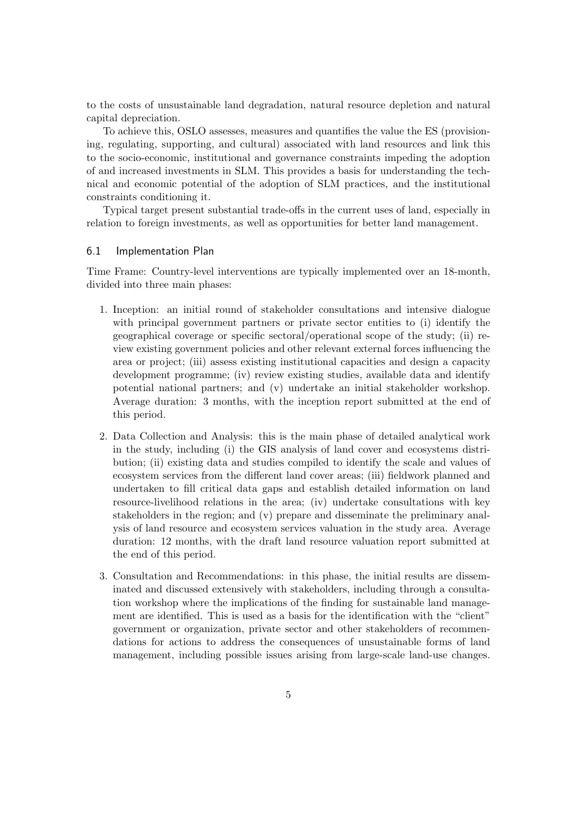to the costs of unsustainable land degradation, natural resource depletion and natural capital depreciation.

To achieve this, OSLO assesses, measures and quantifies the value the ES (provisioning, regulating, supporting, and cultural) associated with land resources and link this to the socio-economic, institutional and governance constraints impeding the adoption of and increased investments in SLM. This provides a basis for understanding the technical and economic potential of the adoption of SLM practices, and the institutional constraints conditioning it.

Typical target present substantial trade-offs in the current uses of land, especially in relation to foreign investments, as well as opportunities for better land management.

#### 6.1 Implementation Plan

Time Frame: Country-level interventions are typically implemented over an 18-month, divided into three main phases:

- 1. Inception: an initial round of stakeholder consultations and intensive dialogue with principal government partners or private sector entities to (i) identify the geographical coverage or specific sectoral/operational scope of the study; (ii) review existing government policies and other relevant external forces influencing the area or project; (iii) assess existing institutional capacities and design a capacity development programme; (iv) review existing studies, available data and identify potential national partners; and (v) undertake an initial stakeholder workshop. Average duration: 3 months, with the inception report submitted at the end of this period.
- 2. Data Collection and Analysis: this is the main phase of detailed analytical work in the study, including (i) the GIS analysis of land cover and ecosystems distribution; (ii) existing data and studies compiled to identify the scale and values of ecosystem services from the different land cover areas; (iii) fieldwork planned and undertaken to fill critical data gaps and establish detailed information on land resource-livelihood relations in the area; (iv) undertake consultations with key stakeholders in the region; and (v) prepare and disseminate the preliminary analysis of land resource and ecosystem services valuation in the study area. Average duration: 12 months, with the draft land resource valuation report submitted at the end of this period.
- 3. Consultation and Recommendations: in this phase, the initial results are disseminated and discussed extensively with stakeholders, including through a consultation workshop where the implications of the finding for sustainable land management are identified. This is used as a basis for the identification with the "client" government or organization, private sector and other stakeholders of recommendations for actions to address the consequences of unsustainable forms of land management, including possible issues arising from large-scale land-use changes.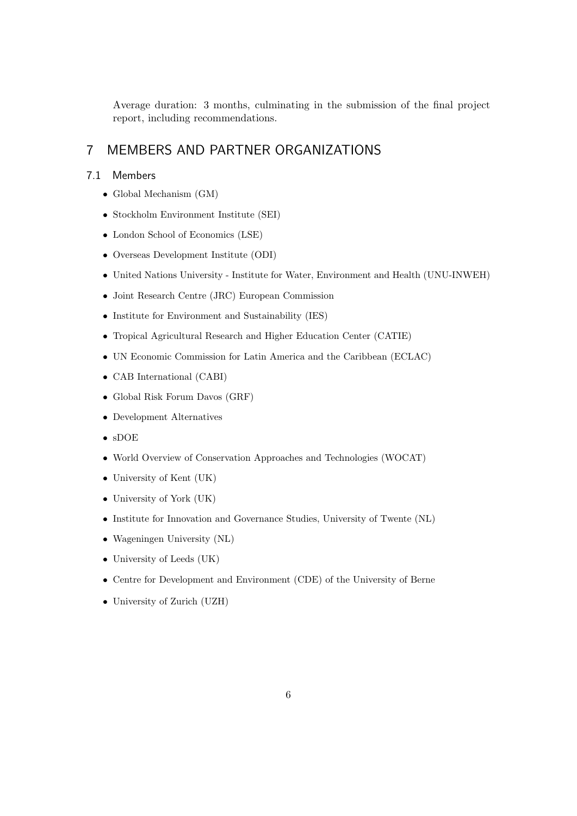Average duration: 3 months, culminating in the submission of the final project report, including recommendations.

# 7 MEMBERS AND PARTNER ORGANIZATIONS

### 7.1 Members

- Global Mechanism (GM)
- Stockholm Environment Institute (SEI)
- London School of Economics (LSE)
- Overseas Development Institute (ODI)
- United Nations University Institute for Water, Environment and Health (UNU-INWEH)
- Joint Research Centre (JRC) European Commission
- Institute for Environment and Sustainability (IES)
- Tropical Agricultural Research and Higher Education Center (CATIE)
- UN Economic Commission for Latin America and the Caribbean (ECLAC)
- CAB International (CABI)
- Global Risk Forum Davos (GRF)
- Development Alternatives
- sDOE
- World Overview of Conservation Approaches and Technologies (WOCAT)
- University of Kent (UK)
- University of York (UK)
- Institute for Innovation and Governance Studies, University of Twente (NL)
- Wageningen University (NL)
- University of Leeds (UK)
- Centre for Development and Environment (CDE) of the University of Berne
- University of Zurich (UZH)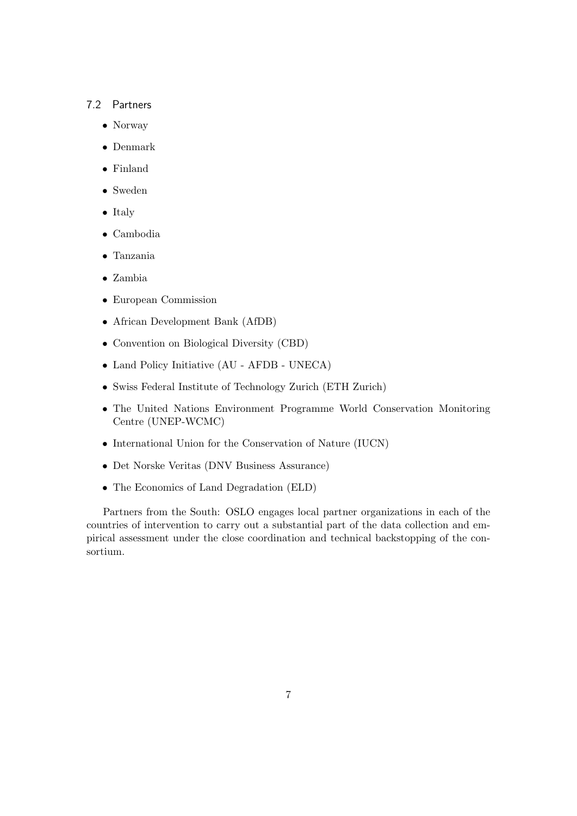#### 7.2 Partners

- Norway
- Denmark
- Finland
- Sweden
- Italy
- Cambodia
- Tanzania
- Zambia
- European Commission
- African Development Bank (AfDB)
- Convention on Biological Diversity (CBD)
- Land Policy Initiative (AU AFDB UNECA)
- Swiss Federal Institute of Technology Zurich (ETH Zurich)
- The United Nations Environment Programme World Conservation Monitoring Centre (UNEP-WCMC)
- International Union for the Conservation of Nature (IUCN)
- Det Norske Veritas (DNV Business Assurance)
- The Economics of Land Degradation (ELD)

Partners from the South: OSLO engages local partner organizations in each of the countries of intervention to carry out a substantial part of the data collection and empirical assessment under the close coordination and technical backstopping of the consortium.